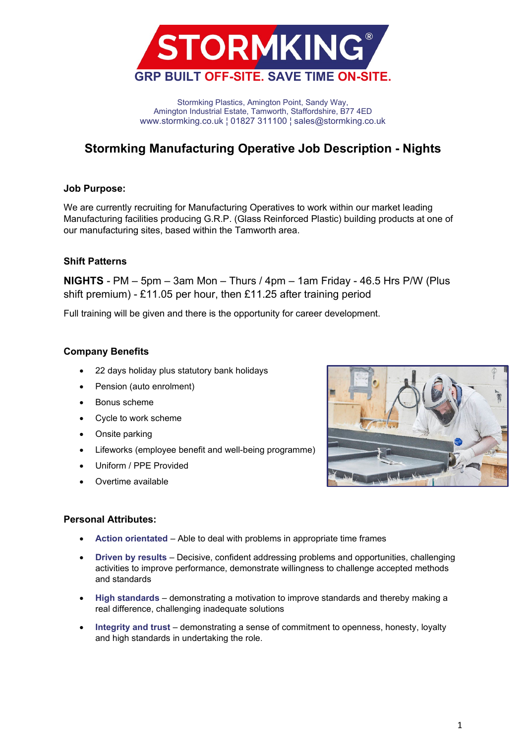

Stormking Plastics, Amington Point, Sandy Way, Amington Industrial Estate, Tamworth, Staffordshire, B77 4ED www.stormking.co.uk ¦ 01827 311100 ¦ sales@stormking.co.uk

# **Stormking Manufacturing Operative Job Description - Nights**

### **Job Purpose:**

We are currently recruiting for Manufacturing Operatives to work within our market leading Manufacturing facilities producing G.R.P. (Glass Reinforced Plastic) building products at one of our manufacturing sites, based within the Tamworth area.

## **Shift Patterns**

**NIGHTS** - PM – 5pm – 3am Mon – Thurs / 4pm – 1am Friday - 46.5 Hrs P/W (Plus shift premium) - £11.05 per hour, then £11.25 after training period

Full training will be given and there is the opportunity for career development.

## **Company Benefits**

- 22 days holiday plus statutory bank holidays
- Pension (auto enrolment)
- Bonus scheme
- Cycle to work scheme
- Onsite parking
- Lifeworks (employee benefit and well-being programme)
- Uniform / PPE Provided
- Overtime available



### **Personal Attributes:**

- **Action orientated** Able to deal with problems in appropriate time frames
- **Driven by results** Decisive, confident addressing problems and opportunities, challenging activities to improve performance, demonstrate willingness to challenge accepted methods and standards
- **High standards** demonstrating a motivation to improve standards and thereby making a real difference, challenging inadequate solutions
- **Integrity and trust** demonstrating a sense of commitment to openness, honesty, loyalty and high standards in undertaking the role.